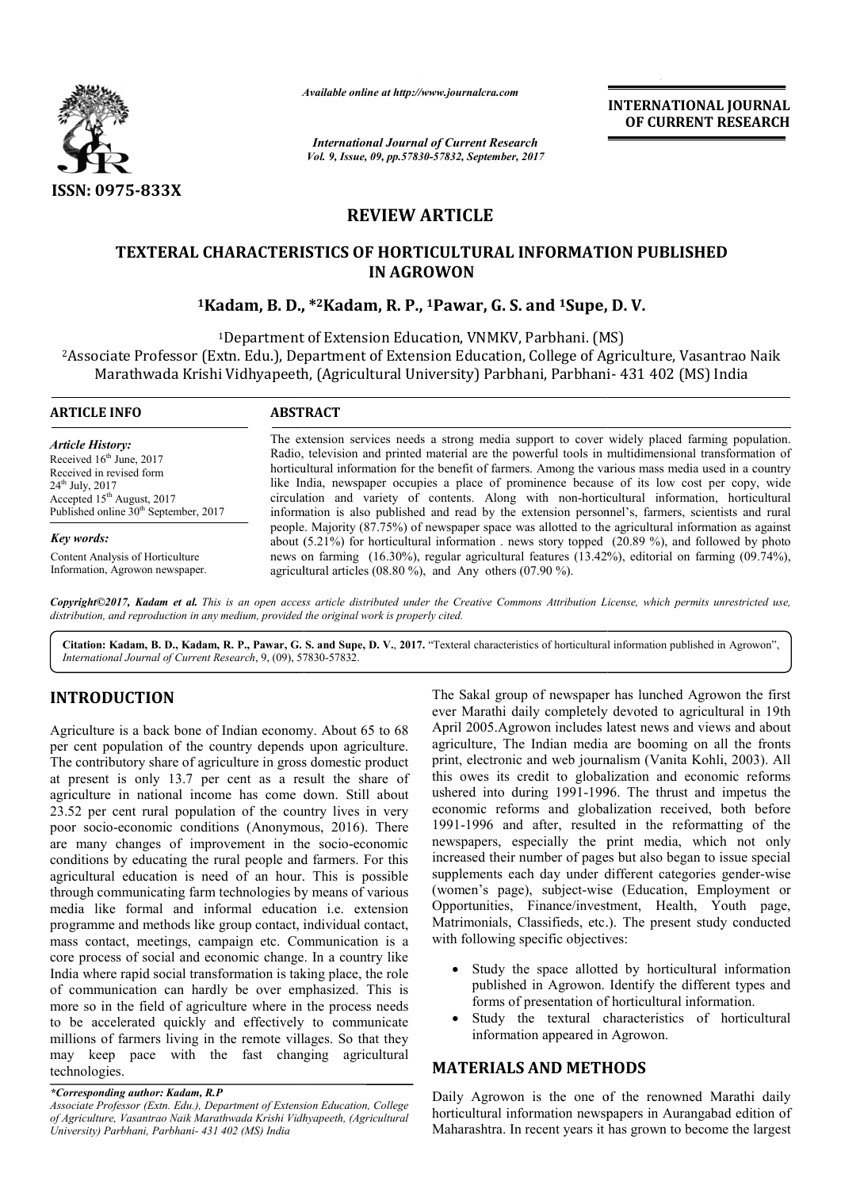

*Available online at http://www.journal http://www.journalcra.com*

*International Journal of Current Research Vol. 9, Issue, 09, pp.57830-57832, September, 2017* **INTERNATIONAL JOURNAL OF CURRENT RESEARCH** 

# **REVIEW ARTICLE**

# **TEXTERAL CHARACTERISTICS OF HORTICULTURAL INFORMATION TEXTERAL CHARACTERISTICS INFORMATION PUBLISHED IN AGROWON**

# **1Kadam, B. D., , \*2Kadam, R. P., 1Pawar, G. S. and 1Supe, , D. V.**

<sup>1</sup>Department of Extension Education, VNMKV, Parbhani. (MS) <sup>1</sup>Department of Extension Education, VNMKV, Parbhani. (MS)<br>Associate Professor (Extn. Edu.), Department of Extension Education, College of Agriculture, Vasantrao Naik? Marathwada Krishi Vidhyapeeth Vidhyapeeth, (Agricultural University) Parbhani, Parbhani Parbhani- 431 402 (MS) India

**ARTICLE INFO ABSTRACT**

*Article History:* Received 16<sup>th</sup> June, 2017 Received in revised form 24th July, 2017 Accepted  $15<sup>th</sup>$  August, 2017 Published online  $30<sup>th</sup>$  September, 2017

*Key words:* Content Analysis of Horticulture Information, Agrowon newspaper.

The extension services needs a strong media support to cover widely placed farming population. Radio, television and printed material are the powerful tools in multidimensional transformation of horticultural information for the benefit of farmers. Among the various mass media used in a country like India, newspaper occupies a place of prominence because of its low cost per copy, wide circulation and variety of contents. Along with non non-horticultural information, horticultural information is also published and read by the extension personnel's, farmers, scientists and rural people. Majority (87.75%) of newspaper space was allotted to the agricultural information as against The extension services needs a strong media support to cover widely placed farming population.<br>Radio, television and printed material are the powerful tools in multidimensional transformation of<br>horticultural information f news on farming  $(16.30\%)$ , regular agricultural features  $(13.42\%)$ , editorial on farming  $(09.74\%)$ , agricultural articles  $(08.80\%)$ , and Any others  $(07.90\%)$ .

*Copyright©2017, Kadam et al. This is an open access article distributed under the Creative Commons Attribution License, which ribution which permits unrestricted use, distribution, and reproduction in any medium, provided the original work is properly cited.*

Citation: Kadam, B. D., Kadam, R. P., Pawar, G. S. and Supe, D. V., 2017. "Texteral characteristics of horticultural information published in Agrowon", *International Journal of Current Research*, 9, (09), 57830 57830-57832.

# **INTRODUCTION**

Agriculture is a back bone of Indian economy. About 65 to 68 per cent population of the country depends upon agriculture. The contributory share of agriculture in gross domestic product at present is only 13.7 per cent as a result the share of agriculture in national income has come down. Still about 23.52 per cent rural population of the country lives in very poor socio-economic conditions (Anonymous, 2016). There poor socio-economic conditions (Anonymous, 2016). There are many changes of improvement in the socio-economic conditions by educating the rural people and farmers. For this agricultural education is need of an hour. This is possible through communicating farm technologies by means of various media like formal and informal education i.e. extension programme and methods like group contact, individual con mass contact, meetings, campaign etc. Communication is a core process of social and economic change. In a country like India where rapid social transformation is taking place, the role of communication can hardly be over emphasized. This is more so in the field of agriculture where in the process needs to be accelerated quickly and effectively to communicate millions of farmers living in the remote villages. So that they may keep pace with the fast changing agricultural technologies. e and farmers. For this<br>hour. This is possible<br>lies by means of various<br>ucation i.e. extension<br>tact, individual contact,

## *\*Corresponding author: Kadam, R.P*

**DUCTION**<br>
The Sakal group of newspaper has lunched Agrowon the first<br>
ret is a back bone of Indian economy. About 65 to 68<br>
April 2005. Agrowon includes latest news and views and but<br>
oppulation of the country depends upo ever Marathi daily completely devoted to agricultural in 19th April 2005.Agrowon includes latest news and views and about agriculture, The Indian media are booming on all the fronts print, electronic and web journalism (Vanita Kohli, 2003). All this owes its credit to globalization and economic reforms ushered into during 1991-1996. The thrust and impetus the economic reforms and globalization received, both before 1991-1996 and after, resulted in the reformatting of the newspapers, especially the print media, which not only increased their number of pages but also began to issue special increased their number of pages but also began to issue special supplements each day under different categories gender-wise (women's page), subject-wise (Education, Employment or Opportunities, Finance/investment, Health, Youth page, Matrimonials, Classifieds, etc.). The present study conducted with following specific objectives: ever Marathi daily completely devoted to agricultural in 19th<br>April 2005. Agrowon includes latest news and views and about<br>agriculture, The Indian media are booming on all the fronts<br>print, electronic and web journalism (V s page), subject-wise (Education, Employment or<br>ities, Finance/investment, Health, Youth page,<br>inials, Classifieds, etc.). The present study conducted<br>wing specific objectives:<br>udy the space allotted by horticultural infor **INTERNATIONAL JOURNAL (OF CURRENT RESEARCH (OF CURRENT RESEARCH (OF CURRENT RESEARCH (OF CURRENT RESEARCH (MS)**<br> **Supe, D. V.** (anii. (MS) (MS) India o cover widely placed farming population.<br>
to cover widely placed farm

- Study the space allotted by horticultural information published in Agrowon. Identify the different types and forms of presentation of horticultural information.
- Study the textural characteristics of horticultural information appeared in Agrowon.

# **MATERIALS AND METHOD METHODS**

Daily Agrowon is the one of the renowned Marathi daily horticultural information newspapers in Aurangabad edition of Maharashtra. In recent years it has grown to become the largest

*Associate Professor (Extn. Edu.), Department of Extension Education, College of Agriculture, Vasantrao Naik Marathwada Krishi Vidhyapeeth, (Agricultural University) Parbhani, Parbhani- 431 402 (MS) India*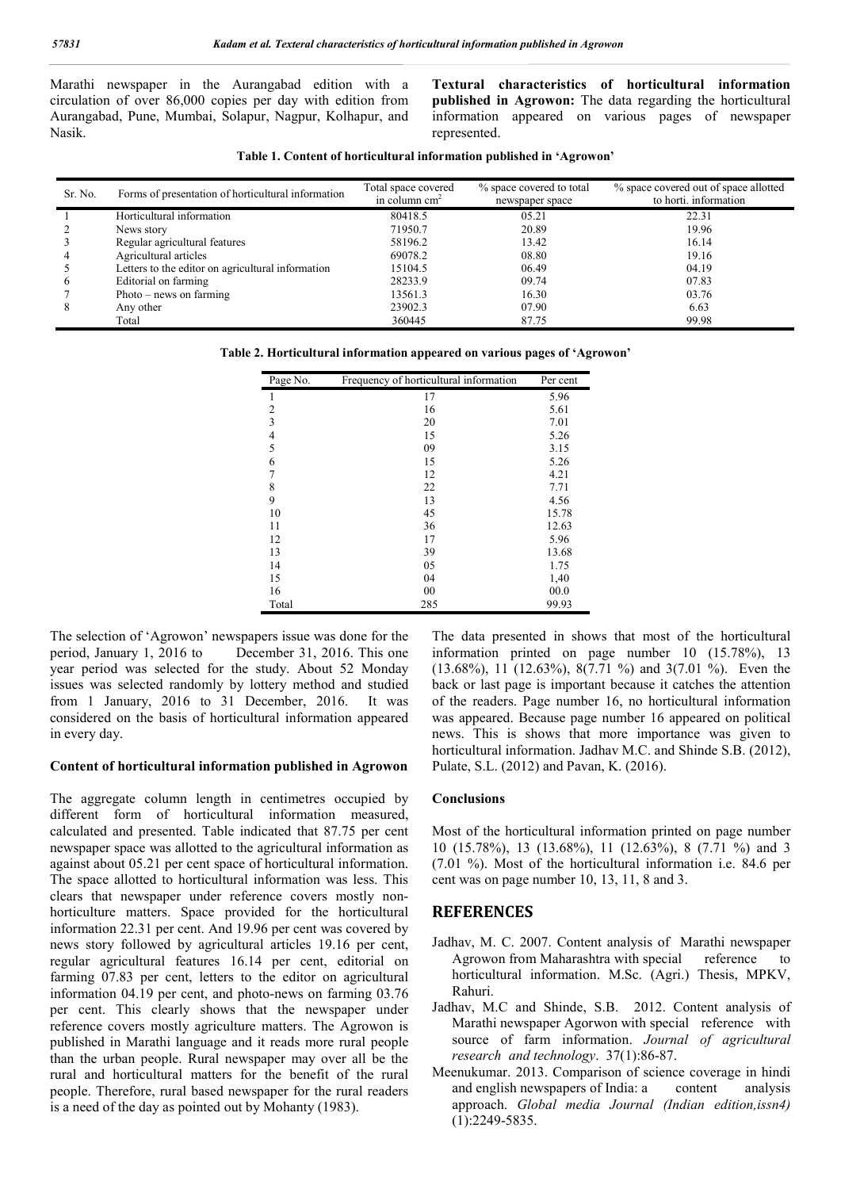Marathi newspaper in the Aurangabad edition with a circulation of over 86,000 copies per day with edition from Aurangabad, Pune, Mumbai, Solapur, Nagpur, Kolhapur, and Nasik.

**Textural characteristics of horticultural information published in Agrowon:** The data regarding the horticultural information appeared on various pages of newspaper represented.

| Table 1. Content of horticultural information published in 'Agrowon' |  |  |
|----------------------------------------------------------------------|--|--|
|----------------------------------------------------------------------|--|--|

| Sr. No. | Forms of presentation of horticultural information | Total space covered<br>in column cm <sup>-</sup> | % space covered to total<br>newspaper space | % space covered out of space allotted<br>to horti. information |
|---------|----------------------------------------------------|--------------------------------------------------|---------------------------------------------|----------------------------------------------------------------|
|         | Horticultural information                          | 80418.5                                          | 05.21                                       | 22.31                                                          |
|         | News story                                         | 71950.7                                          | 20.89                                       | 19.96                                                          |
|         | Regular agricultural features                      | 58196.2                                          | 13.42                                       | 16.14                                                          |
|         | Agricultural articles                              | 69078.2                                          | 08.80                                       | 19.16                                                          |
|         | Letters to the editor on agricultural information  | 15104.5                                          | 06.49                                       | 04.19                                                          |
|         | Editorial on farming                               | 28233.9                                          | 09.74                                       | 07.83                                                          |
|         | $Photo - news on farming$                          | 13561.3                                          | 16.30                                       | 03.76                                                          |
|         | Any other                                          | 23902.3                                          | 07.90                                       | 6.63                                                           |
|         | Total                                              | 360445                                           | 87.75                                       | 99.98                                                          |

| Table 2. Horticultural information appeared on various pages of 'Agrowon' |  |  |  |
|---------------------------------------------------------------------------|--|--|--|
|                                                                           |  |  |  |

| Page No.                | Frequency of horticultural information | Per cent |
|-------------------------|----------------------------------------|----------|
| 1                       | 17                                     | 5.96     |
| $\overline{c}$          | 16                                     | 5.61     |
| $\overline{\mathbf{3}}$ | 20                                     | 7.01     |
| $\frac{4}{5}$           | 15                                     | 5.26     |
|                         | 09                                     | 3.15     |
| 6                       | 15                                     | 5.26     |
| 7                       | 12                                     | 4.21     |
| 8                       | 22                                     | 7.71     |
| 9                       | 13                                     | 4.56     |
| 10                      | 45                                     | 15.78    |
| 11                      | 36                                     | 12.63    |
| 12                      | 17                                     | 5.96     |
| 13                      | 39                                     | 13.68    |
| 14                      | 05                                     | 1.75     |
| 15                      | 04                                     | 1,40     |
| 16                      | 00                                     | 00.0     |
| Total                   | 285                                    | 99.93    |

The selection of 'Agrowon' newspapers issue was done for the period, January 1, 2016 to December 31, 2016. This one year period was selected for the study. About 52 Monday issues was selected randomly by lottery method and studied from 1 January, 2016 to 31 December, 2016. It was considered on the basis of horticultural information appeared in every day.

## **Content of horticultural information published in Agrowon**

The aggregate column length in centimetres occupied by different form of horticultural information measured, calculated and presented. Table indicated that 87.75 per cent newspaper space was allotted to the agricultural information as against about 05.21 per cent space of horticultural information. The space allotted to horticultural information was less. This clears that newspaper under reference covers mostly nonhorticulture matters. Space provided for the horticultural information 22.31 per cent. And 19.96 per cent was covered by news story followed by agricultural articles 19.16 per cent, regular agricultural features 16.14 per cent, editorial on farming 07.83 per cent, letters to the editor on agricultural information 04.19 per cent, and photo-news on farming 03.76 per cent. This clearly shows that the newspaper under reference covers mostly agriculture matters. The Agrowon is published in Marathi language and it reads more rural people than the urban people. Rural newspaper may over all be the rural and horticultural matters for the benefit of the rural people. Therefore, rural based newspaper for the rural readers is a need of the day as pointed out by Mohanty (1983).

The data presented in shows that most of the horticultural information printed on page number 10 (15.78%), 13 (13.68%), 11 (12.63%), 8(7.71 %) and 3(7.01 %). Even the back or last page is important because it catches the attention of the readers. Page number 16, no horticultural information was appeared. Because page number 16 appeared on political news. This is shows that more importance was given to horticultural information. Jadhav M.C. and Shinde S.B. (2012), Pulate, S.L. (2012) and Pavan, K. (2016).

### **Conclusions**

Most of the horticultural information printed on page number 10 (15.78%), 13 (13.68%), 11 (12.63%), 8 (7.71 %) and 3 (7.01 %). Most of the horticultural information i.e. 84.6 per cent was on page number 10, 13, 11, 8 and 3.

## **REFERENCES**

- Jadhav, M. C. 2007. Content analysis of Marathi newspaper Agrowon from Maharashtra with special reference to horticultural information. M.Sc. (Agri.) Thesis, MPKV, Rahuri.
- Jadhav, M.C and Shinde, S.B. 2012. Content analysis of Marathi newspaper Agorwon with special reference with source of farm information. *Journal of agricultural research and technology*. 37(1):86-87.
- Meenukumar. 2013. Comparison of science coverage in hindi and english newspapers of India: a content analysis approach. *Global media Journal (Indian edition,issn4)* (1):2249-5835.